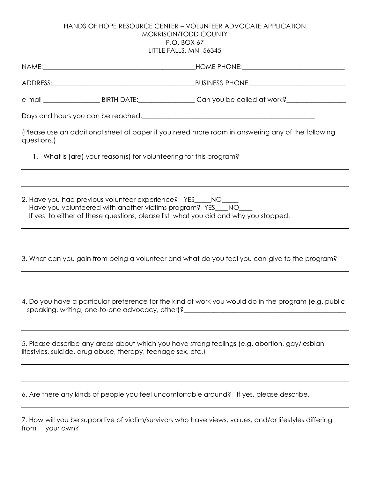## HANDS OF HOPE RESOURCE CENTER – VOLUNTEER ADVOCATE APPLICATION MORRISON/TODD COUNTY P.O. BOX 67 LITTLE FALLS, MN 56345

| (Please use an additional sheet of paper if you need more room in answering any of the following<br>questions.)                                                                                                                                                                                                             |                                                              |                                                                                               |  |  |
|-----------------------------------------------------------------------------------------------------------------------------------------------------------------------------------------------------------------------------------------------------------------------------------------------------------------------------|--------------------------------------------------------------|-----------------------------------------------------------------------------------------------|--|--|
| 1. What is (are) your reason(s) for volunteering for this program?                                                                                                                                                                                                                                                          |                                                              |                                                                                               |  |  |
|                                                                                                                                                                                                                                                                                                                             |                                                              |                                                                                               |  |  |
| 2. Have you had previous volunteer experience? YES____NO____<br>Have you volunteered with another victims program? YES___NO___<br>If yes to either of these questions, please list what you did and why you stopped.                                                                                                        |                                                              |                                                                                               |  |  |
|                                                                                                                                                                                                                                                                                                                             |                                                              |                                                                                               |  |  |
|                                                                                                                                                                                                                                                                                                                             |                                                              | 3. What can you gain from being a volunteer and what do you feel you can give to the program? |  |  |
|                                                                                                                                                                                                                                                                                                                             |                                                              |                                                                                               |  |  |
| 4. Do you have a particular preference for the kind of work you would do in the program (e.g. public<br>speaking, writing, one-to-one advocacy, other)?<br>Speaking, writing, one-to-one advocacy, other)?<br>Shortly and the summary and the summary and the summary and the summary and the summary and the summary and t |                                                              |                                                                                               |  |  |
|                                                                                                                                                                                                                                                                                                                             | lifestyles, suicide, drug abuse, therapy, teenage sex, etc.) | 5. Please describe any areas about which you have strong feelings (e.g. abortion, gay/lesbian |  |  |
|                                                                                                                                                                                                                                                                                                                             |                                                              |                                                                                               |  |  |
|                                                                                                                                                                                                                                                                                                                             |                                                              | 6. Are there any kinds of people you feel uncomfortable around? If yes, please describe.      |  |  |
| 7. How will you be supportive of victim/survivors who have views, values, and/or lifestyles differing<br>your own?<br>from                                                                                                                                                                                                  |                                                              |                                                                                               |  |  |